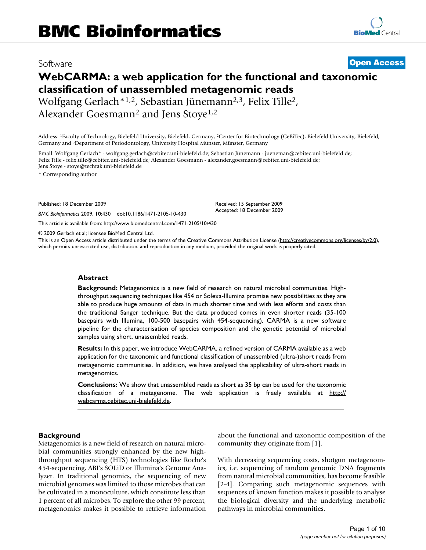# Software **[Open Access](http://www.biomedcentral.com/info/about/charter/)**

# **WebCARMA: a web application for the functional and taxonomic classification of unassembled metagenomic reads**

Wolfgang Gerlach\*1,2, Sebastian Jünemann2,3, Felix Tille2, Alexander Goesmann<sup>2</sup> and Jens Stoye<sup>1,2</sup>

Address: 1Faculty of Technology, Bielefeld University, Bielefeld, Germany, 2Center for Biotechnology (CeBiTec), Bielefeld University, Bielefeld, Germany and 3Department of Periodontology, University Hospital Münster, Münster, Germany

Email: Wolfgang Gerlach\* - wolfgang.gerlach@cebitec.uni-bielefeld.de; Sebastian Jünemann - jueneman@cebitec.uni-bielefeld.de; Felix Tille - felix.tille@cebitec.uni-bielefeld.de; Alexander Goesmann - alexander.goesmann@cebitec.uni-bielefeld.de; Jens Stoye - stoye@techfak.uni-bielefeld.de

\* Corresponding author

Published: 18 December 2009

*BMC Bioinformatics* 2009, **10**:430 doi:10.1186/1471-2105-10-430

[This article is available from: http://www.biomedcentral.com/1471-2105/10/430](http://www.biomedcentral.com/1471-2105/10/430)

© 2009 Gerlach et al; licensee BioMed Central Ltd.

This is an Open Access article distributed under the terms of the Creative Commons Attribution License [\(http://creativecommons.org/licenses/by/2.0\)](http://creativecommons.org/licenses/by/2.0), which permits unrestricted use, distribution, and reproduction in any medium, provided the original work is properly cited.

Received: 15 September 2009 Accepted: 18 December 2009

#### **Abstract**

**Background:** Metagenomics is a new field of research on natural microbial communities. Highthroughput sequencing techniques like 454 or Solexa-Illumina promise new possibilities as they are able to produce huge amounts of data in much shorter time and with less efforts and costs than the traditional Sanger technique. But the data produced comes in even shorter reads (35-100 basepairs with Illumina, 100-500 basepairs with 454-sequencing). CARMA is a new software pipeline for the characterisation of species composition and the genetic potential of microbial samples using short, unassembled reads.

**Results:** In this paper, we introduce WebCARMA, a refined version of CARMA available as a web application for the taxonomic and functional classification of unassembled (ultra-)short reads from metagenomic communities. In addition, we have analysed the applicability of ultra-short reads in metagenomics.

**Conclusions:** We show that unassembled reads as short as 35 bp can be used for the taxonomic classification of a metagenome. The web application is freely available at [http://](http://webcarma.cebitec.uni-bielefeld.de) [webcarma.cebitec.uni-bielefeld.de](http://webcarma.cebitec.uni-bielefeld.de).

#### **Background**

Metagenomics is a new field of research on natural microbial communities strongly enhanced by the new highthroughput sequencing (HTS) technologies like Roche's 454-sequencing, ABI's SOLiD or Illumina's Genome Analyzer. In traditional genomics, the sequencing of new microbial genomes was limited to those microbes that can be cultivated in a monoculture, which constitute less than 1 percent of all microbes. To explore the other 99 percent, metagenomics makes it possible to retrieve information about the functional and taxonomic composition of the community they originate from [[1](#page-8-0)].

With decreasing sequencing costs, shotgun metagenomics, i.e. sequencing of random genomic DNA fragments from natural microbial communities, has become feasible [[2-](#page-8-1)[4](#page-8-2)]. Comparing such metagenomic sequences with sequences of known function makes it possible to analyse the biological diversity and the underlying metabolic pathways in microbial communities.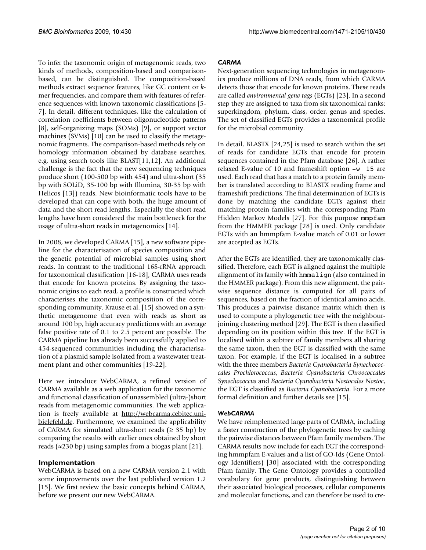To infer the taxonomic origin of metagenomic reads, two kinds of methods, composition-based and comparisonbased, can be distinguished. The composition-based methods extract sequence features, like GC content or *k*mer frequencies, and compare them with features of reference sequences with known taxonomic classifications [[5](#page-8-3)- [7\]](#page-8-4). In detail, different techniques, like the calculation of correlation coefficients between oligonucleotide patterns [[8\]](#page-8-5), self-organizing maps (SOMs) [\[9\]](#page-8-6), or support vector machines (SVMs) [\[10\]](#page-8-7) can be used to classify the metagenomic fragments. The comparison-based methods rely on homology information obtained by database searches, e.g. using search tools like BLAST[\[11](#page-8-8),[12](#page-8-9)]. An additional challenge is the fact that the new sequencing techniques produce short (100-500 bp with 454) and ultra-short (35 bp with SOLiD, 35-100 bp with Illumina, 30-35 bp with Helicos [\[13](#page-9-0)]) reads. New bioinformatic tools have to be developed that can cope with both, the huge amount of data and the short read lengths. Especially the short read lengths have been considered the main bottleneck for the usage of ultra-short reads in metagenomics [\[14](#page-9-1)].

In 2008, we developed CARMA [\[15](#page-9-2)], a new software pipeline for the characterisation of species composition and the genetic potential of microbial samples using short reads. In contrast to the traditional 16S-rRNA approach for taxonomical classification [[16-](#page-9-3)[18\]](#page-9-4), CARMA uses reads that encode for known proteins. By assigning the taxonomic origins to each read, a profile is constructed which characterises the taxonomic composition of the corresponding community. Krause et al. [[15\]](#page-9-2) showed on a synthetic metagenome that even with reads as short as around 100 bp, high accuracy predictions with an average false positive rate of 0.1 to 2.5 percent are possible. The CARMA pipeline has already been successfully applied to 454-sequenced communities including the characterisation of a plasmid sample isolated from a wastewater treatment plant and other communities [\[19-](#page-9-5)[22\]](#page-9-6).

Here we introduce WebCARMA, a refined version of CARMA available as a web application for the taxonomic and functional classification of unassembled (ultra-)short reads from metagenomic communities. The web application is freely available at [http://webcarma.cebitec.uni](http://webcarma.cebitec.uni-bielefeld.de)[bielefeld.de](http://webcarma.cebitec.uni-bielefeld.de). Furthermore, we examined the applicability of CARMA for simulated ultra-short reads  $(≥ 35 bp)$  by comparing the results with earlier ones obtained by short reads ( $\approx$ 230 bp) using samples from a biogas plant [\[21\]](#page-9-7).

# **Implementation**

WebCARMA is based on a new CARMA version 2.1 with some improvements over the last published version 1.2 [[15](#page-9-2)]. We first review the basic concepts behind CARMA, before we present our new WebCARMA.

# *CARMA*

Next-generation sequencing technologies in metagenomics produce millions of DNA reads, from which CARMA detects those that encode for known proteins. These reads are called *environmental gene tags* (EGTs) [[23\]](#page-9-8). In a second step they are assigned to taxa from six taxonomical ranks: superkingdom, phylum, class, order, genus and species. The set of classified EGTs provides a taxonomical profile for the microbial community.

In detail, BLASTX [\[24,](#page-9-9)[25](#page-9-10)] is used to search within the set of reads for candidate EGTs that encode for protein sequences contained in the Pfam database [[26\]](#page-9-11). A rather relaxed E-value of 10 and frameshift option -w 15 are used. Each read that has a match to a protein family member is translated according to BLASTX reading frame and frameshift predictions. The final determination of EGTs is done by matching the candidate EGTs against their matching protein families with the corresponding Pfam Hidden Markov Models [\[27](#page-9-12)]. For this purpose mmpfam from the HMMER package [[28](#page-9-13)] is used. Only candidate EGTs with an hmmpfam E-value match of 0.01 or lower are accepted as EGTs.

After the EGTs are identified, they are taxonomically classified. Therefore, each EGT is aligned against the multiple alignment of its family with hmmalign (also contained in the HMMER package). From this new alignment, the pairwise sequence distance is computed for all pairs of sequences, based on the fraction of identical amino acids. This produces a pairwise distance matrix which then is used to compute a phylogenetic tree with the neighbourjoining clustering method [[29\]](#page-9-14). The EGT is then classified depending on its position within this tree. If the EGT is localised within a subtree of family members all sharing the same taxon, then the EGT is classified with the same taxon. For example, if the EGT is localised in a subtree with the three members *Bacteria Cyanobacteria Synechococcales Prochlorococcus*, *Bacteria Cyanobacteria Chroococcales Synechococcus* and *Bacteria Cyanobacteria Nostocales Nostoc*, the EGT is classified as *Bacteria Cyanobacteria*. For a more formal definition and further details see [\[15\]](#page-9-2).

#### *WebCARMA*

We have reimplemented large parts of CARMA, including a faster construction of the phylogenetic trees by caching the pairwise distances between Pfam family members. The CARMA results now include for each EGT the corresponding hmmpfam E-values and a list of GO-Ids (Gene Ontology Identifiers) [[30\]](#page-9-15) associated with the corresponding Pfam family. The Gene Ontology provides a controlled vocabulary for gene products, distinguishing between their associated biological processes, cellular components and molecular functions, and can therefore be used to cre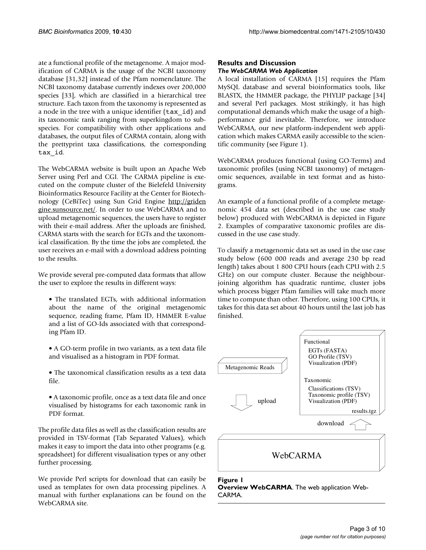ate a functional profile of the metagenome. A major modification of CARMA is the usage of the NCBI taxonomy database [\[31](#page-9-16),[32\]](#page-9-17) instead of the Pfam nomenclature. The NCBI taxonomy database currently indexes over 200,000 species [\[33](#page-9-18)], which are classified in a hierarchical tree structure. Each taxon from the taxonomy is represented as a node in the tree with a unique identifier (tax\_id) and its taxonomic rank ranging from superkingdom to subspecies. For compatibility with other applications and databases, the output files of CARMA contain, along with the prettyprint taxa classifications, the corresponding tax\_id.

The WebCARMA website is built upon an Apache Web Server using Perl and CGI. The CARMA pipeline is executed on the compute cluster of the Bielefeld University Bioinformatics Resource Facility at the Center for Biotechnology (CeBiTec) using Sun Grid Engine [http://griden](http://gridengine.sunsource.net/) [gine.sunsource.net/](http://gridengine.sunsource.net/). In order to use WebCARMA and to upload metagenomic sequences, the users have to register with their e-mail address. After the uploads are finished, CARMA starts with the search for EGTs and the taxonomical classification. By the time the jobs are completed, the user receives an e-mail with a download address pointing to the results.

We provide several pre-computed data formats that allow the user to explore the results in different ways:

- The translated EGTs, with additional information about the name of the original metagenomic sequence, reading frame, Pfam ID, HMMER E-value and a list of GO-Ids associated with that corresponding Pfam ID.
- A GO-term profile in two variants, as a text data file and visualised as a histogram in PDF format.
- The taxonomical classification results as a text data file.
- A taxonomic profile, once as a text data file and once visualised by histograms for each taxonomic rank in PDF format.

The profile data files as well as the classification results are provided in TSV-format (Tab Separated Values), which makes it easy to import the data into other programs (e.g. spreadsheet) for different visualisation types or any other further processing.

We provide Perl scripts for download that can easily be used as templates for own data processing pipelines. A manual with further explanations can be found on the WebCARMA site.

### **Results and Discussion** *The WebCARMA Web Application*

A local installation of CARMA [[15](#page-9-2)] requires the Pfam MySQL database and several bioinformatics tools, like BLASTX, the HMMER package, the PHYLIP package [[34\]](#page-9-19) and several Perl packages. Most strikingly, it has high computational demands which make the usage of a highperformance grid inevitable. Therefore, we introduce WebCARMA, our new platform-independent web application which makes CARMA easily accessible to the scientific community (see Figure [1](#page-2-0)).

WebCARMA produces functional (using GO-Terms) and taxonomic profiles (using NCBI taxonomy) of metagenomic sequences, available in text format and as histograms.

An example of a functional profile of a complete metagenomic 454 data set (described in the use case study below) produced with WebCARMA is depicted in Figure [2](#page-3-0). Examples of comparative taxonomic profiles are discussed in the use case study.

To classify a metagenomic data set as used in the use case study below (600 000 reads and average 230 bp read length) takes about 1 800 CPU hours (each CPU with 2.5 GHz) on our compute cluster. Because the neighbourjoining algorithm has quadratic runtime, cluster jobs which process bigger Pfam families will take much more time to compute than other. Therefore, using 100 CPUs, it takes for this data set about 40 hours until the last job has finished.

<span id="page-2-0"></span>

**Figure 1 Overview WebCARMA**. The web application Web-CARMA.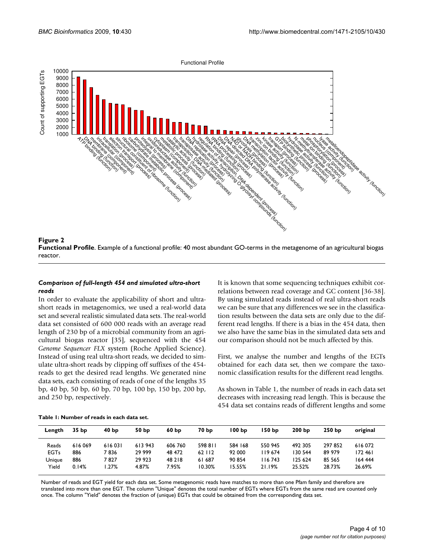<span id="page-3-0"></span>

#### **Figure 2**

**Functional Profile**. Example of a functional profile: 40 most abundant GO-terms in the metagenome of an agricultural biogas reactor.

#### *Comparison of full-length 454 and simulated ultra-short reads*

In order to evaluate the applicability of short and ultrashort reads in metagenomics, we used a real-world data set and several realistic simulated data sets. The real-world data set consisted of 600 000 reads with an average read length of 230 bp of a microbial community from an agricultural biogas reactor [\[35\]](#page-9-20), sequenced with the 454 *Genome Sequencer FLX* system (Roche Applied Science). Instead of using real ultra-short reads, we decided to simulate ultra-short reads by clipping off suffixes of the 454 reads to get the desired read lengths. We generated nine data sets, each consisting of reads of one of the lengths 35 bp, 40 bp, 50 bp, 60 bp, 70 bp, 100 bp, 150 bp, 200 bp, and 250 bp, respectively.

It is known that some sequencing techniques exhibit correlations between read coverage and GC content [\[36](#page-9-21)[-38](#page-9-22)]. By using simulated reads instead of real ultra-short reads we can be sure that any differences we see in the classification results between the data sets are only due to the different read lengths. If there is a bias in the 454 data, then we also have the same bias in the simulated data sets and our comparison should not be much affected by this.

First, we analyse the number and lengths of the EGTs obtained for each data set, then we compare the taxonomic classification results for the different read lengths.

As shown in Table [1,](#page-3-1) the number of reads in each data set decreases with increasing read length. This is because the 454 data set contains reads of different lengths and some

| Length      | 35 <sub>bp</sub> | 40 <sub>bp</sub> | 50 bp  | 60 <sub>bp</sub> | 70 bp   | 100 bp  | 150 bp   | 200 <sub>bp</sub> | 250 <sub>bp</sub> | original |
|-------------|------------------|------------------|--------|------------------|---------|---------|----------|-------------------|-------------------|----------|
| Reads       | 616069           | 616031           | 613943 | 606 760          | 598 811 | 584 168 | 550 945  | 492 305           | 297852            | 616072   |
| <b>EGTs</b> | 886              | 7 836            | 29 999 | 48 472           | 62 112  | 92 000  | I 19 674 | 130 544           | 89 979            | 172461   |
| Unique      | 886              | 7827             | 29 923 | 48 218           | 61 687  | 90 854  | I 16 743 | 125 624           | 85 565            | 164 444  |
| Yield       | 0.14%            | .27%             | 4.87%  | 7.95%            | 10.30%  | 15.55%  | 21.19%   | 25.52%            | 28.73%            | 26.69%   |

<span id="page-3-1"></span>**Table 1: Number of reads in each data set.** 

Number of reads and EGT yield for each data set. Some metagenomic reads have matches to more than one Pfam family and therefore are translated into more than one EGT. The column "Unique" denotes the total number of EGTs where EGTs from the same read are counted only once. The column "Yield" denotes the fraction of (unique) EGTs that could be obtained from the corresponding data set.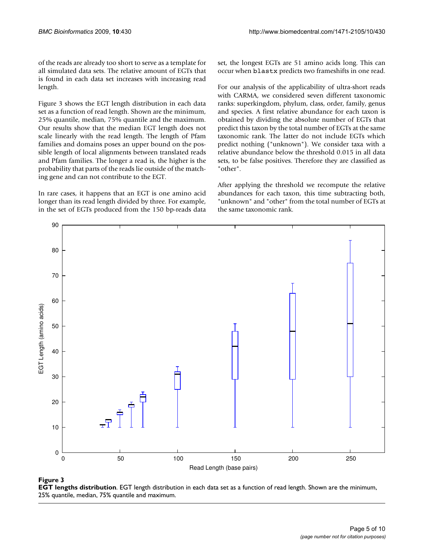of the reads are already too short to serve as a template for all simulated data sets. The relative amount of EGTs that is found in each data set increases with increasing read length.

Figure [3](#page-4-0) shows the EGT length distribution in each data set as a function of read length. Shown are the minimum, 25% quantile, median, 75% quantile and the maximum. Our results show that the median EGT length does not scale linearly with the read length. The length of Pfam families and domains poses an upper bound on the possible length of local alignments between translated reads and Pfam families. The longer a read is, the higher is the probability that parts of the reads lie outside of the matching gene and can not contribute to the EGT.

In rare cases, it happens that an EGT is one amino acid longer than its read length divided by three. For example, in the set of EGTs produced from the 150 bp-reads data set, the longest EGTs are 51 amino acids long. This can occur when blastx predicts two frameshifts in one read.

For our analysis of the applicability of ultra-short reads with CARMA, we considered seven different taxonomic ranks: superkingdom, phylum, class, order, family, genus and species. A first relative abundance for each taxon is obtained by dividing the absolute number of EGTs that predict this taxon by the total number of EGTs at the same taxonomic rank. The latter do not include EGTs which predict nothing ("unknown"). We consider taxa with a relative abundance below the threshold 0.015 in all data sets, to be false positives. Therefore they are classified as "other".

After applying the threshold we recompute the relative abundances for each taxon, this time subtracting both, "unknown" and "other" from the total number of EGTs at the same taxonomic rank.

<span id="page-4-0"></span>

#### **Figure 3**

**EGT lengths distribution**. EGT length distribution in each data set as a function of read length. Shown are the minimum, 25% quantile, median, 75% quantile and maximum.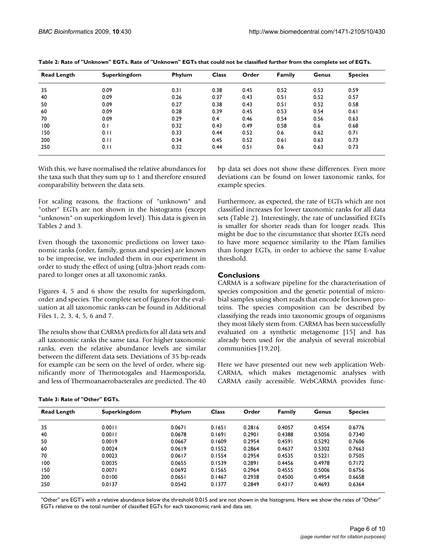| <b>Read Length</b> | <b>Superkingdom</b> | Phylum | <b>Class</b> | Order | <b>Family</b> | Genus | <b>Species</b> |
|--------------------|---------------------|--------|--------------|-------|---------------|-------|----------------|
| 35                 | 0.09                | 0.31   | 0.38         | 0.45  | 0.52          | 0.53  | 0.59           |
| 40                 | 0.09                | 0.26   | 0.37         | 0.43  | 0.51          | 0.52  | 0.57           |
| 50                 | 0.09                | 0.27   | 0.38         | 0.43  | 0.51          | 0.52  | 0.58           |
| 60                 | 0.09                | 0.28   | 0.39         | 0.45  | 0.53          | 0.54  | 0.61           |
| 70                 | 0.09                | 0.29   | 0.4          | 0.46  | 0.54          | 0.56  | 0.63           |
| 100                | 0.1                 | 0.32   | 0.43         | 0.49  | 0.58          | 0.6   | 0.68           |
| 150                | 0.11                | 0.33   | 0.44         | 0.52  | 0.6           | 0.62  | 0.71           |
| 200                | 0.11                | 0.34   | 0.45         | 0.52  | 0.61          | 0.63  | 0.73           |
| 250                | 0.11                | 0.32   | 0.44         | 0.51  | 0.6           | 0.63  | 0.73           |

<span id="page-5-0"></span>

With this, we have normalised the relative abundances for the taxa such that they sum up to 1 and therefore ensured comparability between the data sets.

For scaling reasons, the fractions of "unknown" and "other" EGTs are not shown in the histograms (except "unknown" on superkingdom level). This data is given in Tables [2](#page-5-0) and [3](#page-5-1).

Even though the taxonomic predictions on lower taxonomic ranks (order, family, genus and species) are known to be imprecise, we included them in our experiment in order to study the effect of using (ultra-)short reads compared to longer ones at all taxonomic ranks.

Figures [4,](#page-6-0) [5](#page-6-1) and [6](#page-7-0) show the results for superkingdom, order and species. The complete set of figures for the evaluation at all taxonomic ranks can be found in Additional Files [1,](#page-8-10) [2](#page-8-11), [3,](#page-8-12) [4](#page-8-13), [5,](#page-8-14) [6](#page-8-15) and [7.](#page-8-16)

The results show that CARMA predicts for all data sets and all taxonomic ranks the same taxa. For higher taxonomic ranks, even the relative abundance levels are similar between the different data sets. Deviations of 35 bp-reads for example can be seen on the level of order, where significantly more of Thermotogales and Haemosporida, and less of Thermoanaerobacterales are predicted. The 40

bp data set does not show these differences. Even more deviations can be found on lower taxonomic ranks, for example species.

Furthermore, as expected, the rate of EGTs which are not classified increases for lower taxonomic ranks for all data sets (Table [2](#page-5-0)). Interestingly, the rate of unclassified EGTs is smaller for shorter reads than for longer reads. This might be due to the circumstance that shorter EGTs need to have more sequence similarity to the Pfam families than longer EGTs, in order to achieve the same E-value threshold.

### **Conclusions**

CARMA is a software pipeline for the characterisation of species composition and the genetic potential of microbial samples using short reads that encode for known proteins. The species composition can be described by classifying the reads into taxonomic groups of organisms they most likely stem from. CARMA has been successfully evaluated on a synthetic metagenome [[15\]](#page-9-2) and has already been used for the analysis of several microbial communities [[19](#page-9-5),[20\]](#page-9-23).

Here we have presented our new web application Web-CARMA, which makes metagenomic analyses with CARMA easily accessible. WebCARMA provides func-

<span id="page-5-1"></span>

| Table 3: Rate of "Other" EGTs. |  |  |  |  |  |  |
|--------------------------------|--|--|--|--|--|--|
|--------------------------------|--|--|--|--|--|--|

| <b>Read Length</b> | <b>Superkingdom</b> | Phylum | <b>Class</b> | Order  | <b>Family</b> | Genus  | <b>Species</b> |
|--------------------|---------------------|--------|--------------|--------|---------------|--------|----------------|
| 35                 | 0.0011              | 0.0671 | 0.1651       | 0.2816 | 0.4057        | 0.4554 | 0.6776         |
| 40                 | 0.0011              | 0.0678 | 0.1691       | 0.2901 | 0.4388        | 0.5056 | 0.7340         |
| 50                 | 0.0019              | 0.0667 | 0.1609       | 0.2954 | 0.4591        | 0.5292 | 0.7606         |
| 60                 | 0.0024              | 0.0619 | 0.1552       | 0.2864 | 0.4637        | 0.5302 | 0.7663         |
| 70                 | 0.0023              | 0.0617 | 0.1554       | 0.2954 | 0.4535        | 0.5221 | 0.7505         |
| 100                | 0.0035              | 0.0655 | 0.1539       | 0.2891 | 0.4456        | 0.4978 | 0.7172         |
| 150                | 0.0071              | 0.0692 | 0.1565       | 0.2964 | 0.4555        | 0.5006 | 0.6756         |
| 200                | 0.0100              | 0.0651 | 0.1467       | 0.2938 | 0.4500        | 0.4954 | 0.6658         |
| 250                | 0.0137              | 0.0542 | 0.1377       | 0.2849 | 0.4317        | 0.4693 | 0.6364         |

"Other" are EGT's with a relative abundance below the threshold 0.015 and are not shown in the histograms. Here we show the rates of "Other" EGTs relative to the total number of classified EGTs for each taxonomic rank and data set.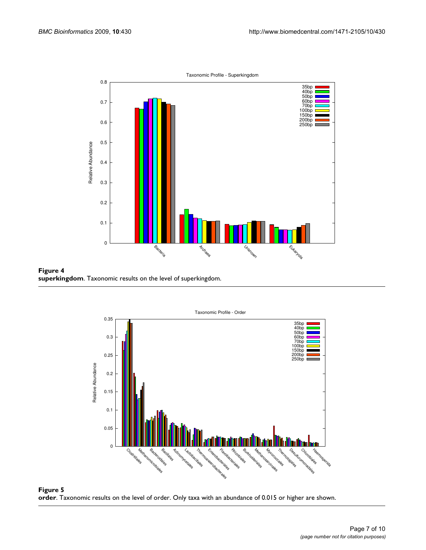<span id="page-6-0"></span>

<span id="page-6-1"></span>**Figure 4 superkingdom**. Taxonomic results on the level of superkingdom.



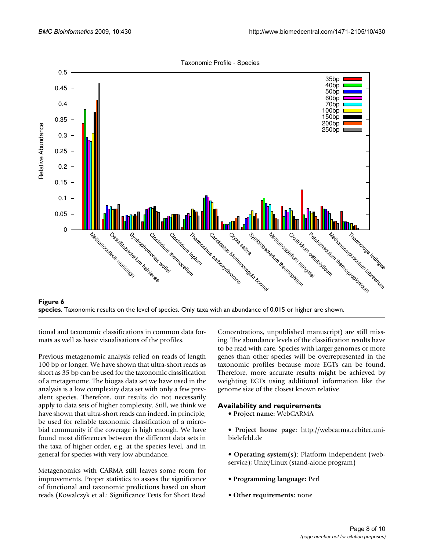Taxonomic Profile - Species

<span id="page-7-0"></span>

**Figure 6 species**. Taxonomic results on the level of species. Only taxa with an abundance of 0.015 or higher are shown.

tional and taxonomic classifications in common data formats as well as basic visualisations of the profiles.

Previous metagenomic analysis relied on reads of length 100 bp or longer. We have shown that ultra-short reads as short as 35 bp can be used for the taxonomic classification of a metagenome. The biogas data set we have used in the analysis is a low complexity data set with only a few prevalent species. Therefore, our results do not necessarily apply to data sets of higher complexity. Still, we think we have shown that ultra-short reads can indeed, in principle, be used for reliable taxonomic classification of a microbial community if the coverage is high enough. We have found most differences between the different data sets in the taxa of higher order, e.g. at the species level, and in general for species with very low abundance.

Metagenomics with CARMA still leaves some room for improvements. Proper statistics to assess the significance of functional and taxonomic predictions based on short reads (Kowalczyk et al.: Significance Tests for Short Read Concentrations, unpublished manuscript) are still missing. The abundance levels of the classification results have to be read with care. Species with larger genomes or more genes than other species will be overrepresented in the taxonomic profiles because more EGTs can be found. Therefore, more accurate results might be achieved by weighting EGTs using additional information like the genome size of the closest known relative.

#### **Availability and requirements**

• **Project name:** WebCARMA

• **Project home page:** [http://webcarma.cebitec.uni](http://webcarma.cebitec.uni-bielefeld.de)[bielefeld.de](http://webcarma.cebitec.uni-bielefeld.de)

- **Operating system(s):** Platform independent (webservice); Unix/Linux (stand-alone program)
- **Programming language:** Perl
- **Other requirements:** none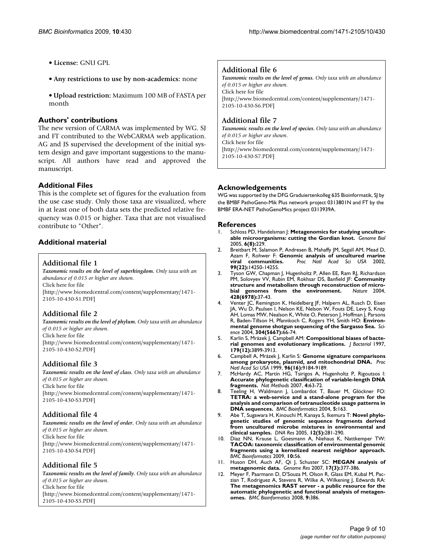- **License:** GNU GPL
- **Any restrictions to use by non-academics:** none
- **Upload restriction:** Maximum 100 MB of FASTA per month

#### **Authors' contributions**

The new version of CARMA was implemented by WG. SJ and FT contributed to the WebCARMA web application. AG and JS supervised the development of the initial system design and gave important suggestions to the manuscript. All authors have read and approved the manuscript.

## **Additional Files**

This is the complete set of figures for the evaluation from the use case study. Only those taxa are visualized, where in at least one of both data sets the predicted relative frequency was 0.015 or higher. Taxa that are not visualised contribute to "Other".

# **Additional material**

#### <span id="page-8-10"></span>**Additional file 1**

*Taxonomic results on the level of superkingdom. Only taxa with an abundance of 0.015 or higher are shown.* Click here for file [\[http://www.biomedcentral.com/content/supplementary/1471-](http://www.biomedcentral.com/content/supplementary/1471-2105-10-430-S1.PDF) 2105-10-430-S1.PDF]

#### <span id="page-8-11"></span>**Additional file 2**

*Taxonomic results on the level of phylum. Only taxa with an abundance of 0.015 or higher are shown.* Click here for file [\[http://www.biomedcentral.com/content/supplementary/1471-](http://www.biomedcentral.com/content/supplementary/1471-2105-10-430-S2.PDF) 2105-10-430-S2.PDF]

# <span id="page-8-12"></span>**Additional file 3**

*Taxonomic results on the level of class. Only taxa with an abundance of 0.015 or higher are shown.* Click here for file [\[http://www.biomedcentral.com/content/supplementary/1471-](http://www.biomedcentral.com/content/supplementary/1471-2105-10-430-S3.PDF) 2105-10-430-S3.PDF]

#### <span id="page-8-13"></span>**Additional file 4**

*Taxonomic results on the level of order. Only taxa with an abundance of 0.015 or higher are shown.* Click here for file [\[http://www.biomedcentral.com/content/supplementary/1471-](http://www.biomedcentral.com/content/supplementary/1471-2105-10-430-S4.PDF) 2105-10-430-S4.PDF]

# <span id="page-8-14"></span>**Additional file 5**

*Taxonomic results on the level of family. Only taxa with an abundance of 0.015 or higher are shown.* Click here for file [\[http://www.biomedcentral.com/content/supplementary/1471-](http://www.biomedcentral.com/content/supplementary/1471-2105-10-430-S5.PDF) 2105-10-430-S5.PDF]

### <span id="page-8-15"></span>**Additional file 6**

*Taxonomic results on the level of genus. Only taxa with an abundance of 0.015 or higher are shown.* Click here for file [\[http://www.biomedcentral.com/content/supplementary/1471-](http://www.biomedcentral.com/content/supplementary/1471-2105-10-430-S6.PDF) 2105-10-430-S6.PDF]

### <span id="page-8-16"></span>**Additional file 7**

*Taxonomic results on the level of species. Only taxa with an abundance of 0.015 or higher are shown.* Click here for file [\[http://www.biomedcentral.com/content/supplementary/1471-](http://www.biomedcentral.com/content/supplementary/1471-2105-10-430-S7.PDF) 2105-10-430-S7.PDF]

# **Acknowledgements**

WG was supported by the DFG Graduiertenkolleg 635 Bioinformatik, SJ by the BMBF PathoGeno-Mik Plus network project 0313801N and FT by the BMBF ERA-NET PathoGenoMics project 0313939A.

#### **References**

- <span id="page-8-0"></span>Schloss PD, Handelsman J: [Metagenomics for studying uncultur](http://www.ncbi.nlm.nih.gov/entrez/query.fcgi?cmd=Retrieve&db=PubMed&dopt=Abstract&list_uids=16086859)**[able microorganisms: cutting the Gordian knot.](http://www.ncbi.nlm.nih.gov/entrez/query.fcgi?cmd=Retrieve&db=PubMed&dopt=Abstract&list_uids=16086859)** *Genome Biol* 2005, **6(8):**229.
- <span id="page-8-1"></span>2. Breitbart M, Salamon P, Andresen B, Mahaffy JM, Segall AM, Mead D, Azam F, Rohwer F: **[Genomic analysis of uncultured marine](http://www.ncbi.nlm.nih.gov/entrez/query.fcgi?cmd=Retrieve&db=PubMed&dopt=Abstract&list_uids=12384570) [viral communities.](http://www.ncbi.nlm.nih.gov/entrez/query.fcgi?cmd=Retrieve&db=PubMed&dopt=Abstract&list_uids=12384570)** *Proc Natl Acad Sci USA* 2002, **99(22):**14250-14255.
- 3. Tyson GW, Chapman J, Hugenholtz P, Allen EE, Ram RJ, Richardson PM, Solovyev VV, Rubin EM, Rokhsar DS, Banfield JF: **[Community](http://www.ncbi.nlm.nih.gov/entrez/query.fcgi?cmd=Retrieve&db=PubMed&dopt=Abstract&list_uids=14961025) [structure and metabolism through reconstruction of micro](http://www.ncbi.nlm.nih.gov/entrez/query.fcgi?cmd=Retrieve&db=PubMed&dopt=Abstract&list_uids=14961025)**[bial genomes from the environment.](http://www.ncbi.nlm.nih.gov/entrez/query.fcgi?cmd=Retrieve&db=PubMed&dopt=Abstract&list_uids=14961025) **428(6978):**37-43.
- <span id="page-8-2"></span>4. Venter JC, Remington K, Heidelberg JF, Halpern AL, Rusch D, Eisen JA, Wu D, Paulsen I, Nelson KE, Nelson W, Fouts DE, Levy S, Knap AH, Lomas MW, Nealson K, White O, Peterson J, Hoffman J, Parsons R, Baden-Tillson H, Pfannkoch C, Rogers YH, Smith HO: **[Environ](http://www.ncbi.nlm.nih.gov/entrez/query.fcgi?cmd=Retrieve&db=PubMed&dopt=Abstract&list_uids=15001713)[mental genome shotgun sequencing of the Sargasso Sea.](http://www.ncbi.nlm.nih.gov/entrez/query.fcgi?cmd=Retrieve&db=PubMed&dopt=Abstract&list_uids=15001713)** *Science* 2004, **304(5667):**66-74.
- <span id="page-8-3"></span>5. Karlin S, Mrázek J, Campbell AM: **[Compositional biases of bacte](http://www.ncbi.nlm.nih.gov/entrez/query.fcgi?cmd=Retrieve&db=PubMed&dopt=Abstract&list_uids=9190805)[rial genomes and evolutionary implications.](http://www.ncbi.nlm.nih.gov/entrez/query.fcgi?cmd=Retrieve&db=PubMed&dopt=Abstract&list_uids=9190805)** *J Bacteriol* 1997, **179(12):**3899-3913.
- 6. Campbell A, Mrázek J, Karlin S: **[Genome signature comparisons](http://www.ncbi.nlm.nih.gov/entrez/query.fcgi?cmd=Retrieve&db=PubMed&dopt=Abstract&list_uids=10430917) [among prokaryote, plasmid, and mitochondrial DNA.](http://www.ncbi.nlm.nih.gov/entrez/query.fcgi?cmd=Retrieve&db=PubMed&dopt=Abstract&list_uids=10430917)** *Proc Natl Acad Sci USA* 1999, **96(16):**9184-9189.
- <span id="page-8-4"></span>7. McHardy AC, Martín HG, Tsirigos A, Hugenholtz P, Rigoutsos I: **[Accurate phylogenetic classification of variable-length DNA](http://www.ncbi.nlm.nih.gov/entrez/query.fcgi?cmd=Retrieve&db=PubMed&dopt=Abstract&list_uids=17179938) [fragments.](http://www.ncbi.nlm.nih.gov/entrez/query.fcgi?cmd=Retrieve&db=PubMed&dopt=Abstract&list_uids=17179938)** *Nat Methods* 2007, **4:**63-72.
- <span id="page-8-5"></span>8. Teeling H, Waldmann J, Lombardot T, Bauer M, Glöckner FO: **[TETRA: a web-service and a stand-alone program for the](http://www.ncbi.nlm.nih.gov/entrez/query.fcgi?cmd=Retrieve&db=PubMed&dopt=Abstract&list_uids=15507136) analysis and comparison of tetranucleotide usage patterns in [DNA sequences.](http://www.ncbi.nlm.nih.gov/entrez/query.fcgi?cmd=Retrieve&db=PubMed&dopt=Abstract&list_uids=15507136)** *BMC Bioinformatics* 2004, **5:**163.
- <span id="page-8-6"></span>9. Abe T, Sugawara H, Kinouchi M, Kanaya S, Ikemura T: **[Novel phylo](http://www.ncbi.nlm.nih.gov/entrez/query.fcgi?cmd=Retrieve&db=PubMed&dopt=Abstract&list_uids=16769690)[genetic studies of genomic sequence fragments derived](http://www.ncbi.nlm.nih.gov/entrez/query.fcgi?cmd=Retrieve&db=PubMed&dopt=Abstract&list_uids=16769690) from uncultured microbe mixtures in environmental and [clinical samples.](http://www.ncbi.nlm.nih.gov/entrez/query.fcgi?cmd=Retrieve&db=PubMed&dopt=Abstract&list_uids=16769690)** *DNA Res* 2005, **12(5):**281-290.
- <span id="page-8-7"></span>10. Diaz NN, Krause L, Goesmann A, Niehaus K, Nattkemper TW: **[TACOA: taxonomic classification of environmental genomic](http://www.ncbi.nlm.nih.gov/entrez/query.fcgi?cmd=Retrieve&db=PubMed&dopt=Abstract&list_uids=19210774) fragments using a kernelized nearest neighbor approach.** *BMC Bioinformatics* 2009, **10:**56.
- <span id="page-8-8"></span>11. Huson DH, Auch AF, Qi J, Schuster SC: **[MEGAN analysis of](http://www.ncbi.nlm.nih.gov/entrez/query.fcgi?cmd=Retrieve&db=PubMed&dopt=Abstract&list_uids=17255551) [metagenomic data.](http://www.ncbi.nlm.nih.gov/entrez/query.fcgi?cmd=Retrieve&db=PubMed&dopt=Abstract&list_uids=17255551)** *Genome Res* 2007, **17(3):**377-386.
- <span id="page-8-9"></span>12. Meyer F, Paarmann D, D'Souza M, Olson R, Glass EM, Kubal M, Paczian T, Rodriguez A, Stevens R, Wilke A, Wilkening J, Edwards RA: **[The metagenomics RAST server - a public resource for the](http://www.ncbi.nlm.nih.gov/entrez/query.fcgi?cmd=Retrieve&db=PubMed&dopt=Abstract&list_uids=18803844) automatic phylogenetic and functional analysis of metagen[omes.](http://www.ncbi.nlm.nih.gov/entrez/query.fcgi?cmd=Retrieve&db=PubMed&dopt=Abstract&list_uids=18803844)** *BMC Bioinformatics* 2008, **9:**386.